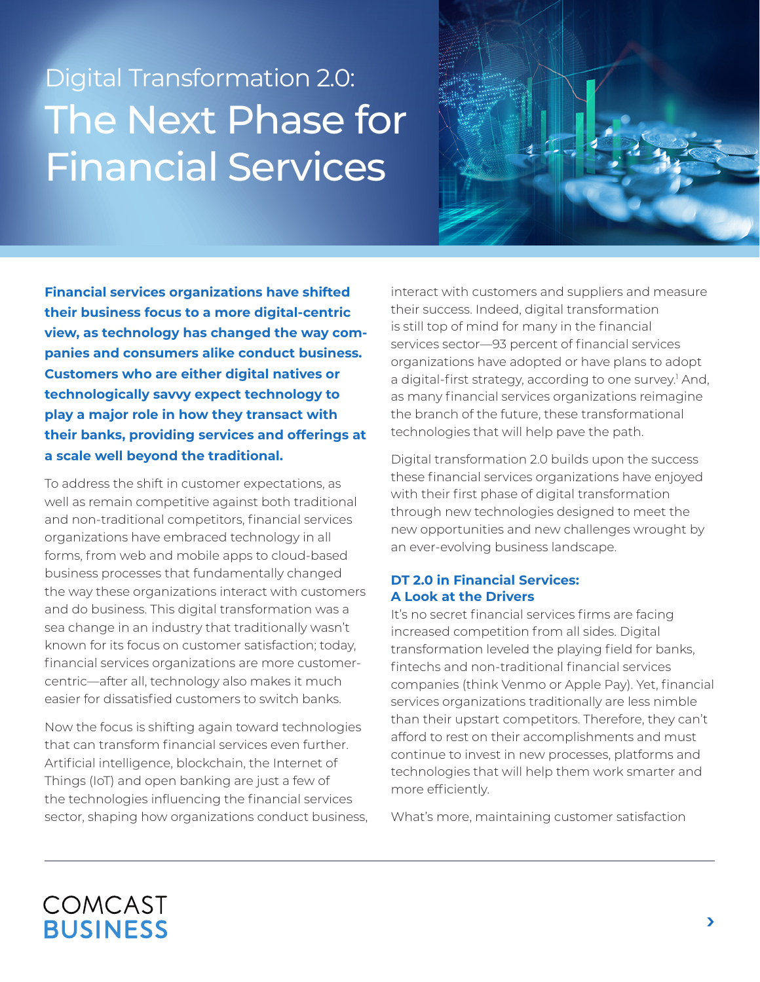# Digital Transformation 2.0: The Next Phase for Financial Services



**Financial services organizations have shifted their business focus to a more digital-centric view, as technology has changed the way companies and consumers alike conduct business. Customers who are either digital natives or technologically savvy expect technology to play a major role in how they transact with their banks, providing services and offerings at a scale well beyond the traditional.**

To address the shift in customer expectations, as well as remain competitive against both traditional and non-traditional competitors, financial services organizations have embraced technology in all forms, from web and mobile apps to cloud-based business processes that fundamentally changed the way these organizations interact with customers and do business. This digital transformation was a sea change in an industry that traditionally wasn't known for its focus on customer satisfaction; today, financial services organizations are more customercentric—after all, technology also makes it much easier for dissatisfied customers to switch banks.

Now the focus is shifting again toward technologies that can transform financial services even further. Artificial intelligence, blockchain, the Internet of Things (IoT) and open banking are just a few of the technologies influencing the financial services sector, shaping how organizations conduct business, interact with customers and suppliers and measure their success. Indeed, digital transformation is still top of mind for many in the financial services sector—93 percent of financial services organizations have adopted or have plans to adopt a digital-first strategy, according to one survey.<sup>1</sup> And, as many financial services organizations reimagine the branch of the future, these transformational technologies that will help pave the path.

Digital transformation 2.0 builds upon the success these financial services organizations have enjoyed with their first phase of digital transformation through new technologies designed to meet the new opportunities and new challenges wrought by an ever-evolving business landscape.

#### **DT 2.0 in Financial Services: A Look at the Drivers**

It's no secret financial services firms are facing increased competition from all sides. Digital transformation leveled the playing field for banks, fintechs and non-traditional financial services companies (think Venmo or Apple Pay). Yet, financial services organizations traditionally are less nimble than their upstart competitors. Therefore, they can't afford to rest on their accomplishments and must continue to invest in new processes, platforms and technologies that will help them work smarter and more efficiently.

What's more, maintaining customer satisfaction

# COMCAST **BUSINESS**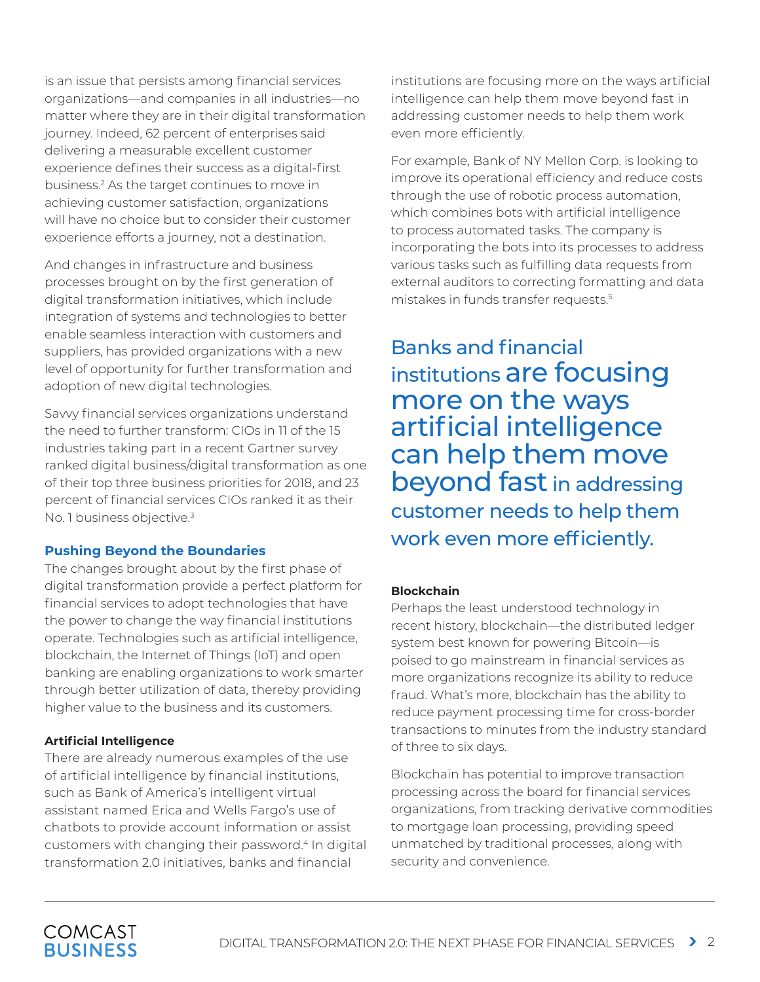is an issue that persists among financial services organizations—and companies in all industries—no matter where they are in their digital transformation journey. Indeed, 62 percent of enterprises said delivering a measurable excellent customer experience defines their success as a digital-first business.2 As the target continues to move in achieving customer satisfaction, organizations will have no choice but to consider their customer experience efforts a journey, not a destination.

And changes in infrastructure and business processes brought on by the first generation of digital transformation initiatives, which include integration of systems and technologies to better enable seamless interaction with customers and suppliers, has provided organizations with a new level of opportunity for further transformation and adoption of new digital technologies.

Savvy financial services organizations understand the need to further transform: CIOs in 11 of the 15 industries taking part in a recent Gartner survey ranked digital business/digital transformation as one of their top three business priorities for 2018, and 23 percent of financial services CIOs ranked it as their No. 1 business objective.<sup>3</sup>

#### **Pushing Beyond the Boundaries**

The changes brought about by the first phase of digital transformation provide a perfect platform for financial services to adopt technologies that have the power to change the way financial institutions operate. Technologies such as artificial intelligence, blockchain, the Internet of Things (IoT) and open banking are enabling organizations to work smarter through better utilization of data, thereby providing higher value to the business and its customers.

#### **Artificial Intelligence**

There are already numerous examples of the use of artificial intelligence by financial institutions, such as Bank of America's intelligent virtual assistant named Erica and Wells Fargo's use of chatbots to provide account information or assist customers with changing their password.<sup>4</sup> In digital transformation 2.0 initiatives, banks and financial

institutions are focusing more on the ways artificial intelligence can help them move beyond fast in addressing customer needs to help them work even more efficiently.

For example, Bank of NY Mellon Corp. is looking to improve its operational efficiency and reduce costs through the use of robotic process automation, which combines bots with artificial intelligence to process automated tasks. The company is incorporating the bots into its processes to address various tasks such as fulfilling data requests from external auditors to correcting formatting and data mistakes in funds transfer requests.5

Banks and financial institutions are focusing more on the ways artificial intelligence can help them move beyond fast in addressing customer needs to help them work even more efficiently.

#### **Blockchain**

Perhaps the least understood technology in recent history, blockchain—the distributed ledger system best known for powering Bitcoin—is poised to go mainstream in financial services as more organizations recognize its ability to reduce fraud. What's more, blockchain has the ability to reduce payment processing time for cross-border transactions to minutes from the industry standard of three to six days.

Blockchain has potential to improve transaction processing across the board for financial services organizations, from tracking derivative commodities to mortgage loan processing, providing speed unmatched by traditional processes, along with security and convenience.

### **COMCAST BUSINESS**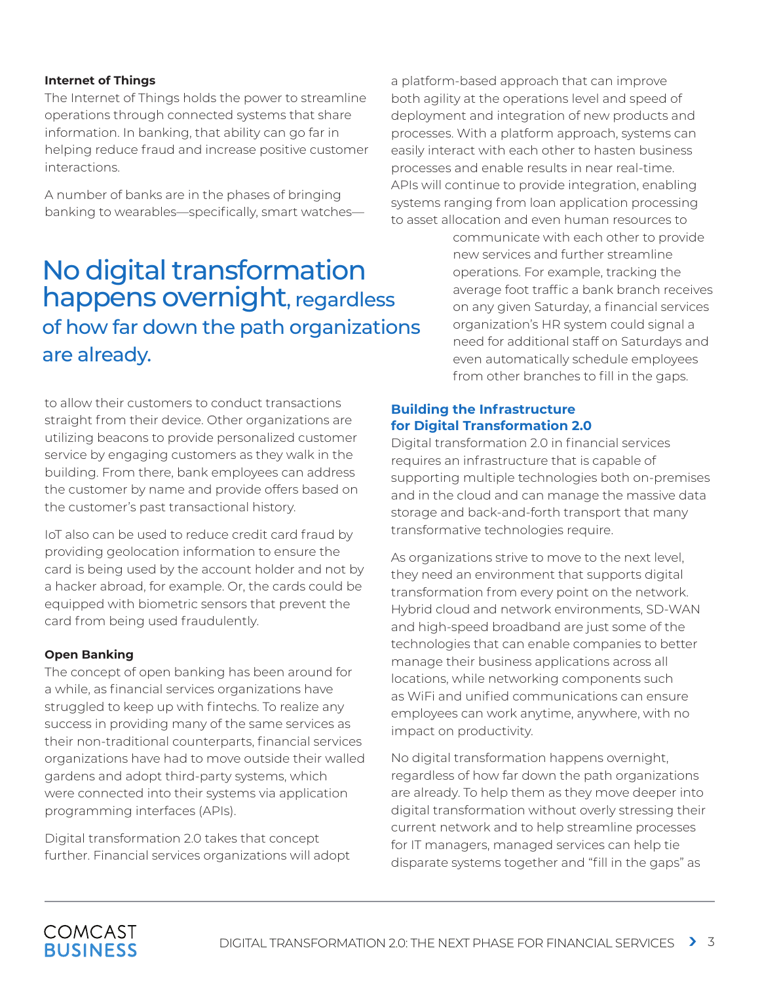#### **Internet of Things**

The Internet of Things holds the power to streamline operations through connected systems that share information. In banking, that ability can go far in helping reduce fraud and increase positive customer interactions.

A number of banks are in the phases of bringing banking to wearables—specifically, smart watches—

## No digital transformation happens overnight, regardless of how far down the path organizations are already.

to allow their customers to conduct transactions straight from their device. Other organizations are utilizing beacons to provide personalized customer service by engaging customers as they walk in the building. From there, bank employees can address the customer by name and provide offers based on the customer's past transactional history.

IoT also can be used to reduce credit card fraud by providing geolocation information to ensure the card is being used by the account holder and not by a hacker abroad, for example. Or, the cards could be equipped with biometric sensors that prevent the card from being used fraudulently.

#### **Open Banking**

The concept of open banking has been around for a while, as financial services organizations have struggled to keep up with fintechs. To realize any success in providing many of the same services as their non-traditional counterparts, financial services organizations have had to move outside their walled gardens and adopt third-party systems, which were connected into their systems via application programming interfaces (APIs).

Digital transformation 2.0 takes that concept further. Financial services organizations will adopt a platform-based approach that can improve both agility at the operations level and speed of deployment and integration of new products and processes. With a platform approach, systems can easily interact with each other to hasten business processes and enable results in near real-time. APIs will continue to provide integration, enabling systems ranging from loan application processing to asset allocation and even human resources to

> communicate with each other to provide new services and further streamline operations. For example, tracking the average foot traffic a bank branch receives on any given Saturday, a financial services organization's HR system could signal a need for additional staff on Saturdays and even automatically schedule employees from other branches to fill in the gaps.

#### **Building the Infrastructure for Digital Transformation 2.0**

Digital transformation 2.0 in financial services requires an infrastructure that is capable of supporting multiple technologies both on-premises and in the cloud and can manage the massive data storage and back-and-forth transport that many transformative technologies require.

As organizations strive to move to the next level, they need an environment that supports digital transformation from every point on the network. Hybrid cloud and network environments, SD-WAN and high-speed broadband are just some of the technologies that can enable companies to better manage their business applications across all locations, while networking components such as WiFi and unified communications can ensure employees can work anytime, anywhere, with no impact on productivity.

No digital transformation happens overnight, regardless of how far down the path organizations are already. To help them as they move deeper into digital transformation without overly stressing their current network and to help streamline processes for IT managers, managed services can help tie disparate systems together and "fill in the gaps" as

### **COMCAST BUSINESS**